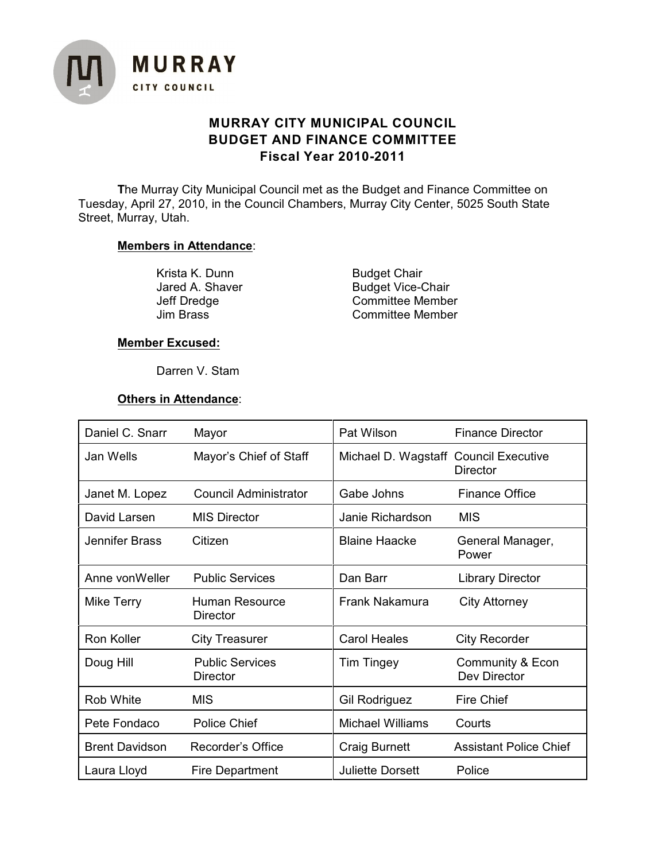

# **MURRAY CITY MUNICIPAL COUNCIL BUDGET AND FINANCE COMMITTEE Fiscal Year 2010-2011**

**T**he Murray City Municipal Council met as the Budget and Finance Committee on Tuesday, April 27, 2010, in the Council Chambers, Murray City Center, 5025 South State Street, Murray, Utah.

## **Members in Attendance**:

Krista K. Dunn Budget Chair<br>
Jared A. Shaver Budget Vice-C

Jared A. Shaver Budget Vice-Chair<br>Jeff Dredge Committee Membe Jeff Dredge Committee Member<br>Jim Brass Committee Member Committee Member

## **Member Excused:**

Darren V. Stam

## **Others in Attendance**:

| Daniel C. Snarr       | Mayor                                     | Pat Wilson                            | <b>Finance Director</b>          |
|-----------------------|-------------------------------------------|---------------------------------------|----------------------------------|
| Jan Wells             | Mayor's Chief of Staff                    | Michael D. Wagstaff Council Executive | <b>Director</b>                  |
| Janet M. Lopez        | <b>Council Administrator</b>              | Gabe Johns                            | <b>Finance Office</b>            |
| David Larsen          | <b>MIS Director</b>                       | Janie Richardson                      | <b>MIS</b>                       |
| Jennifer Brass        | Citizen                                   | <b>Blaine Haacke</b>                  | General Manager,<br>Power        |
| Anne von Weller       | <b>Public Services</b>                    | Dan Barr                              | <b>Library Director</b>          |
| Mike Terry            | Human Resource<br><b>Director</b>         | Frank Nakamura                        | <b>City Attorney</b>             |
| Ron Koller            | <b>City Treasurer</b>                     | <b>Carol Heales</b>                   | <b>City Recorder</b>             |
| Doug Hill             | <b>Public Services</b><br><b>Director</b> | <b>Tim Tingey</b>                     | Community & Econ<br>Dev Director |
| Rob White             | <b>MIS</b>                                | <b>Gil Rodriguez</b>                  | <b>Fire Chief</b>                |
| Pete Fondaco          | <b>Police Chief</b>                       | <b>Michael Williams</b>               | Courts                           |
| <b>Brent Davidson</b> | Recorder's Office                         | <b>Craig Burnett</b>                  | <b>Assistant Police Chief</b>    |
| Laura Lloyd           | Fire Department                           | <b>Juliette Dorsett</b>               | Police                           |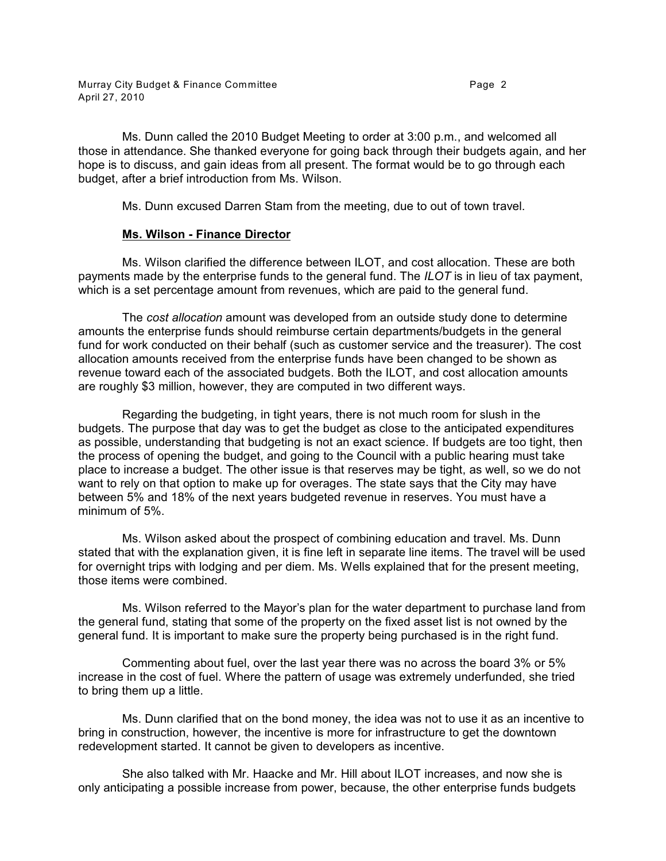Ms. Dunn called the 2010 Budget Meeting to order at 3:00 p.m., and welcomed all those in attendance. She thanked everyone for going back through their budgets again, and her hope is to discuss, and gain ideas from all present. The format would be to go through each budget, after a brief introduction from Ms. Wilson.

Ms. Dunn excused Darren Stam from the meeting, due to out of town travel.

## **Ms. Wilson - Finance Director**

Ms. Wilson clarified the difference between ILOT, and cost allocation. These are both payments made by the enterprise funds to the general fund. The *ILOT* is in lieu of tax payment, which is a set percentage amount from revenues, which are paid to the general fund.

The *cost allocation* amount was developed from an outside study done to determine amounts the enterprise funds should reimburse certain departments/budgets in the general fund for work conducted on their behalf (such as customer service and the treasurer). The cost allocation amounts received from the enterprise funds have been changed to be shown as revenue toward each of the associated budgets. Both the ILOT, and cost allocation amounts are roughly \$3 million, however, they are computed in two different ways.

Regarding the budgeting, in tight years, there is not much room for slush in the budgets. The purpose that day was to get the budget as close to the anticipated expenditures as possible, understanding that budgeting is not an exact science. If budgets are too tight, then the process of opening the budget, and going to the Council with a public hearing must take place to increase a budget. The other issue is that reserves may be tight, as well, so we do not want to rely on that option to make up for overages. The state says that the City may have between 5% and 18% of the next years budgeted revenue in reserves. You must have a minimum of 5%.

Ms. Wilson asked about the prospect of combining education and travel. Ms. Dunn stated that with the explanation given, it is fine left in separate line items. The travel will be used for overnight trips with lodging and per diem. Ms. Wells explained that for the present meeting, those items were combined.

Ms. Wilson referred to the Mayor's plan for the water department to purchase land from the general fund, stating that some of the property on the fixed asset list is not owned by the general fund. It is important to make sure the property being purchased is in the right fund.

Commenting about fuel, over the last year there was no across the board 3% or 5% increase in the cost of fuel. Where the pattern of usage was extremely underfunded, she tried to bring them up a little.

Ms. Dunn clarified that on the bond money, the idea was not to use it as an incentive to bring in construction, however, the incentive is more for infrastructure to get the downtown redevelopment started. It cannot be given to developers as incentive.

She also talked with Mr. Haacke and Mr. Hill about ILOT increases, and now she is only anticipating a possible increase from power, because, the other enterprise funds budgets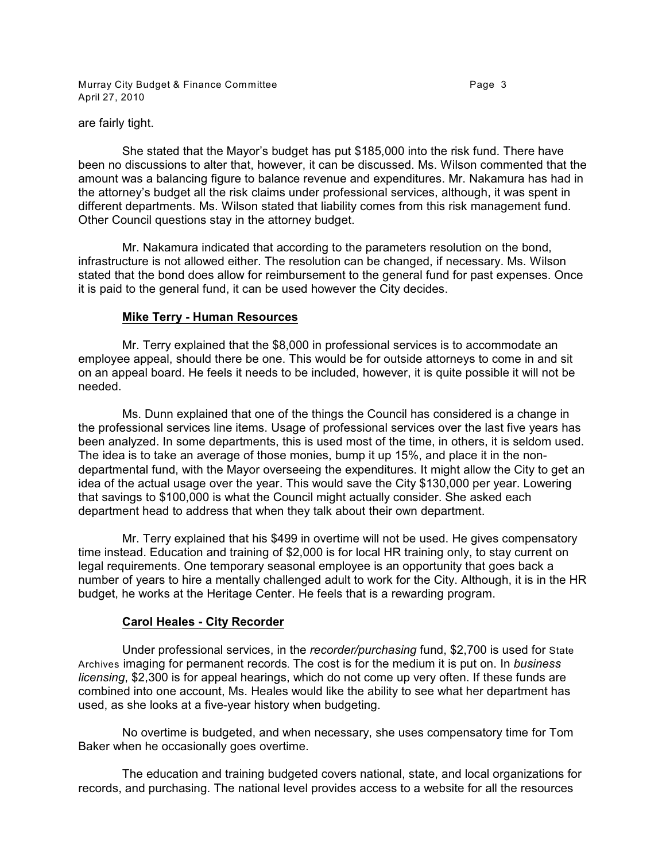Murray City Budget & Finance Committee **Page 3** Page 3 April 27, 2010

are fairly tight.

She stated that the Mayor's budget has put \$185,000 into the risk fund. There have been no discussions to alter that, however, it can be discussed. Ms. Wilson commented that the amount was a balancing figure to balance revenue and expenditures. Mr. Nakamura has had in the attorney's budget all the risk claims under professional services, although, it was spent in different departments. Ms. Wilson stated that liability comes from this risk management fund. Other Council questions stay in the attorney budget.

Mr. Nakamura indicated that according to the parameters resolution on the bond, infrastructure is not allowed either. The resolution can be changed, if necessary. Ms. Wilson stated that the bond does allow for reimbursement to the general fund for past expenses. Once it is paid to the general fund, it can be used however the City decides.

## **Mike Terry - Human Resources**

Mr. Terry explained that the \$8,000 in professional services is to accommodate an employee appeal, should there be one. This would be for outside attorneys to come in and sit on an appeal board. He feels it needs to be included, however, it is quite possible it will not be needed.

Ms. Dunn explained that one of the things the Council has considered is a change in the professional services line items. Usage of professional services over the last five years has been analyzed. In some departments, this is used most of the time, in others, it is seldom used. The idea is to take an average of those monies, bump it up 15%, and place it in the nondepartmental fund, with the Mayor overseeing the expenditures. It might allow the City to get an idea of the actual usage over the year. This would save the City \$130,000 per year. Lowering that savings to \$100,000 is what the Council might actually consider. She asked each department head to address that when they talk about their own department.

Mr. Terry explained that his \$499 in overtime will not be used. He gives compensatory time instead. Education and training of \$2,000 is for local HR training only, to stay current on legal requirements. One temporary seasonal employee is an opportunity that goes back a number of years to hire a mentally challenged adult to work for the City. Although, it is in the HR budget, he works at the Heritage Center. He feels that is a rewarding program.

## **Carol Heales - City Recorder**

Under professional services, in the *recorder/purchasing* fund, \$2,700 is used for State Archives imaging for permanent records. The cost is for the medium it is put on. In *business licensing*, \$2,300 is for appeal hearings, which do not come up very often. If these funds are combined into one account, Ms. Heales would like the ability to see what her department has used, as she looks at a five-year history when budgeting.

No overtime is budgeted, and when necessary, she uses compensatory time for Tom Baker when he occasionally goes overtime.

The education and training budgeted covers national, state, and local organizations for records, and purchasing. The national level provides access to a website for all the resources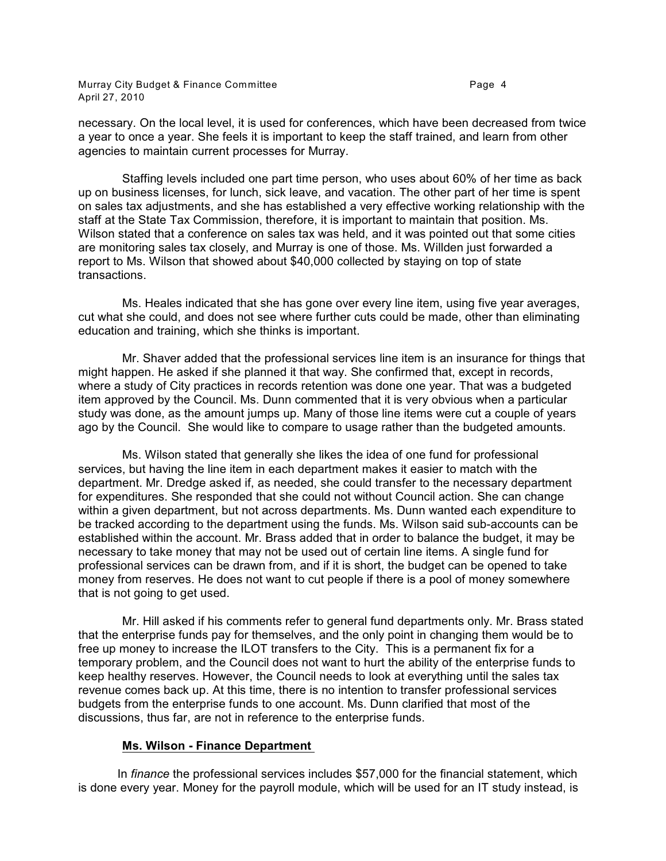Murray City Budget & Finance Committee **Page 4** Page 4 April 27, 2010

necessary. On the local level, it is used for conferences, which have been decreased from twice a year to once a year. She feels it is important to keep the staff trained, and learn from other agencies to maintain current processes for Murray.

Staffing levels included one part time person, who uses about 60% of her time as back up on business licenses, for lunch, sick leave, and vacation. The other part of her time is spent on sales tax adjustments, and she has established a very effective working relationship with the staff at the State Tax Commission, therefore, it is important to maintain that position. Ms. Wilson stated that a conference on sales tax was held, and it was pointed out that some cities are monitoring sales tax closely, and Murray is one of those. Ms. Willden just forwarded a report to Ms. Wilson that showed about \$40,000 collected by staying on top of state transactions.

Ms. Heales indicated that she has gone over every line item, using five year averages, cut what she could, and does not see where further cuts could be made, other than eliminating education and training, which she thinks is important.

Mr. Shaver added that the professional services line item is an insurance for things that might happen. He asked if she planned it that way. She confirmed that, except in records, where a study of City practices in records retention was done one year. That was a budgeted item approved by the Council. Ms. Dunn commented that it is very obvious when a particular study was done, as the amount jumps up. Many of those line items were cut a couple of years ago by the Council. She would like to compare to usage rather than the budgeted amounts.

Ms. Wilson stated that generally she likes the idea of one fund for professional services, but having the line item in each department makes it easier to match with the department. Mr. Dredge asked if, as needed, she could transfer to the necessary department for expenditures. She responded that she could not without Council action. She can change within a given department, but not across departments. Ms. Dunn wanted each expenditure to be tracked according to the department using the funds. Ms. Wilson said sub-accounts can be established within the account. Mr. Brass added that in order to balance the budget, it may be necessary to take money that may not be used out of certain line items. A single fund for professional services can be drawn from, and if it is short, the budget can be opened to take money from reserves. He does not want to cut people if there is a pool of money somewhere that is not going to get used.

Mr. Hill asked if his comments refer to general fund departments only. Mr. Brass stated that the enterprise funds pay for themselves, and the only point in changing them would be to free up money to increase the ILOT transfers to the City. This is a permanent fix for a temporary problem, and the Council does not want to hurt the ability of the enterprise funds to keep healthy reserves. However, the Council needs to look at everything until the sales tax revenue comes back up. At this time, there is no intention to transfer professional services budgets from the enterprise funds to one account. Ms. Dunn clarified that most of the discussions, thus far, are not in reference to the enterprise funds.

#### **Ms. Wilson - Finance Department**

In *finance* the professional services includes \$57,000 for the financial statement, which is done every year. Money for the payroll module, which will be used for an IT study instead, is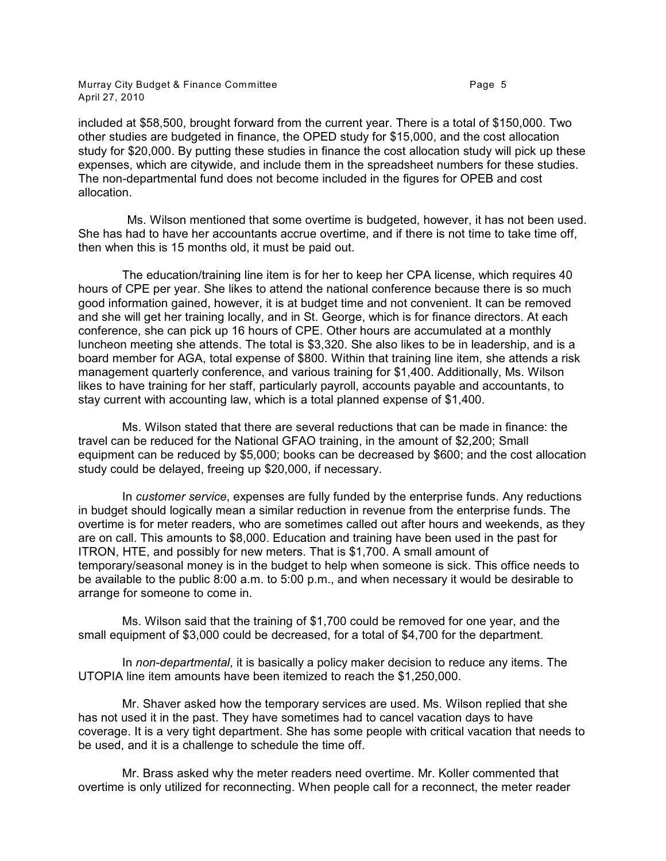Murray City Budget & Finance Committee **Page 1** Page 5 April 27, 2010

included at \$58,500, brought forward from the current year. There is a total of \$150,000. Two other studies are budgeted in finance, the OPED study for \$15,000, and the cost allocation study for \$20,000. By putting these studies in finance the cost allocation study will pick up these expenses, which are citywide, and include them in the spreadsheet numbers for these studies. The non-departmental fund does not become included in the figures for OPEB and cost allocation.

Ms. Wilson mentioned that some overtime is budgeted, however, it has not been used. She has had to have her accountants accrue overtime, and if there is not time to take time off, then when this is 15 months old, it must be paid out.

The education/training line item is for her to keep her CPA license, which requires 40 hours of CPE per year. She likes to attend the national conference because there is so much good information gained, however, it is at budget time and not convenient. It can be removed and she will get her training locally, and in St. George, which is for finance directors. At each conference, she can pick up 16 hours of CPE. Other hours are accumulated at a monthly luncheon meeting she attends. The total is \$3,320. She also likes to be in leadership, and is a board member for AGA, total expense of \$800. Within that training line item, she attends a risk management quarterly conference, and various training for \$1,400. Additionally, Ms. Wilson likes to have training for her staff, particularly payroll, accounts payable and accountants, to stay current with accounting law, which is a total planned expense of \$1,400.

Ms. Wilson stated that there are several reductions that can be made in finance: the travel can be reduced for the National GFAO training, in the amount of \$2,200; Small equipment can be reduced by \$5,000; books can be decreased by \$600; and the cost allocation study could be delayed, freeing up \$20,000, if necessary.

In *customer service*, expenses are fully funded by the enterprise funds. Any reductions in budget should logically mean a similar reduction in revenue from the enterprise funds. The overtime is for meter readers, who are sometimes called out after hours and weekends, as they are on call. This amounts to \$8,000. Education and training have been used in the past for ITRON, HTE, and possibly for new meters. That is \$1,700. A small amount of temporary/seasonal money is in the budget to help when someone is sick. This office needs to be available to the public 8:00 a.m. to 5:00 p.m., and when necessary it would be desirable to arrange for someone to come in.

Ms. Wilson said that the training of \$1,700 could be removed for one year, and the small equipment of \$3,000 could be decreased, for a total of \$4,700 for the department.

In *non-departmental*, it is basically a policy maker decision to reduce any items. The UTOPIA line item amounts have been itemized to reach the \$1,250,000.

Mr. Shaver asked how the temporary services are used. Ms. Wilson replied that she has not used it in the past. They have sometimes had to cancel vacation days to have coverage. It is a very tight department. She has some people with critical vacation that needs to be used, and it is a challenge to schedule the time off.

Mr. Brass asked why the meter readers need overtime. Mr. Koller commented that overtime is only utilized for reconnecting. When people call for a reconnect, the meter reader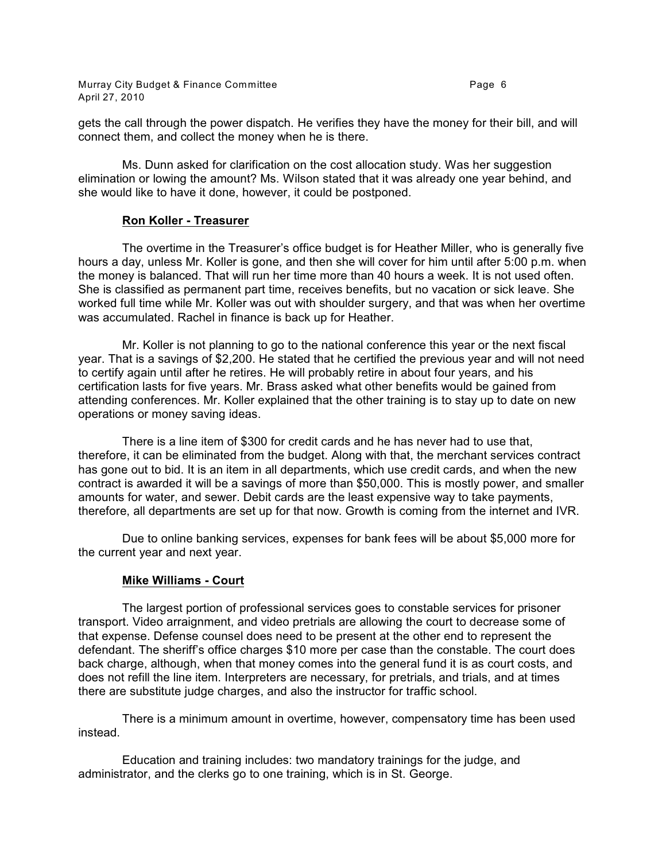Murray City Budget & Finance Committee **Page 1** 2012 1 2014 1 2019 1 2019 1 2019 1 2019 1 2019 1 2019 1 2019 1 20 April 27, 2010

gets the call through the power dispatch. He verifies they have the money for their bill, and will connect them, and collect the money when he is there.

Ms. Dunn asked for clarification on the cost allocation study. Was her suggestion elimination or lowing the amount? Ms. Wilson stated that it was already one year behind, and she would like to have it done, however, it could be postponed.

#### **Ron Koller - Treasurer**

The overtime in the Treasurer's office budget is for Heather Miller, who is generally five hours a day, unless Mr. Koller is gone, and then she will cover for him until after 5:00 p.m. when the money is balanced. That will run her time more than 40 hours a week. It is not used often. She is classified as permanent part time, receives benefits, but no vacation or sick leave. She worked full time while Mr. Koller was out with shoulder surgery, and that was when her overtime was accumulated. Rachel in finance is back up for Heather.

Mr. Koller is not planning to go to the national conference this year or the next fiscal year. That is a savings of \$2,200. He stated that he certified the previous year and will not need to certify again until after he retires. He will probably retire in about four years, and his certification lasts for five years. Mr. Brass asked what other benefits would be gained from attending conferences. Mr. Koller explained that the other training is to stay up to date on new operations or money saving ideas.

There is a line item of \$300 for credit cards and he has never had to use that, therefore, it can be eliminated from the budget. Along with that, the merchant services contract has gone out to bid. It is an item in all departments, which use credit cards, and when the new contract is awarded it will be a savings of more than \$50,000. This is mostly power, and smaller amounts for water, and sewer. Debit cards are the least expensive way to take payments, therefore, all departments are set up for that now. Growth is coming from the internet and IVR.

Due to online banking services, expenses for bank fees will be about \$5,000 more for the current year and next year.

## **Mike Williams - Court**

The largest portion of professional services goes to constable services for prisoner transport. Video arraignment, and video pretrials are allowing the court to decrease some of that expense. Defense counsel does need to be present at the other end to represent the defendant. The sheriff's office charges \$10 more per case than the constable. The court does back charge, although, when that money comes into the general fund it is as court costs, and does not refill the line item. Interpreters are necessary, for pretrials, and trials, and at times there are substitute judge charges, and also the instructor for traffic school.

There is a minimum amount in overtime, however, compensatory time has been used instead.

Education and training includes: two mandatory trainings for the judge, and administrator, and the clerks go to one training, which is in St. George.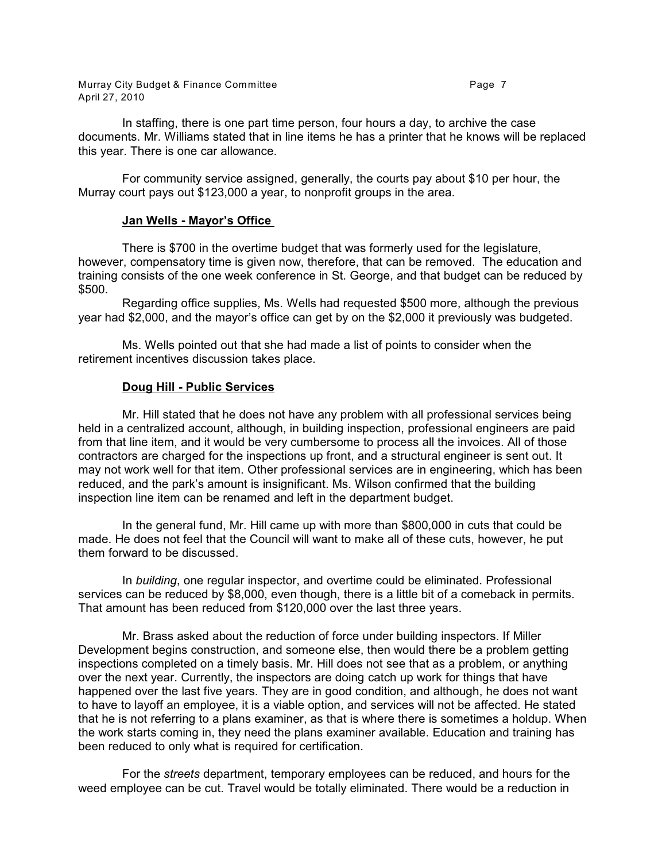Murray City Budget & Finance Committee **Page 7** and the Page 7 April 27, 2010

In staffing, there is one part time person, four hours a day, to archive the case documents. Mr. Williams stated that in line items he has a printer that he knows will be replaced this year. There is one car allowance.

For community service assigned, generally, the courts pay about \$10 per hour, the Murray court pays out \$123,000 a year, to nonprofit groups in the area.

#### **Jan Wells - Mayor's Office**

There is \$700 in the overtime budget that was formerly used for the legislature, however, compensatory time is given now, therefore, that can be removed. The education and training consists of the one week conference in St. George, and that budget can be reduced by \$500.

Regarding office supplies, Ms. Wells had requested \$500 more, although the previous year had \$2,000, and the mayor's office can get by on the \$2,000 it previously was budgeted.

Ms. Wells pointed out that she had made a list of points to consider when the retirement incentives discussion takes place.

## **Doug Hill - Public Services**

Mr. Hill stated that he does not have any problem with all professional services being held in a centralized account, although, in building inspection, professional engineers are paid from that line item, and it would be very cumbersome to process all the invoices. All of those contractors are charged for the inspections up front, and a structural engineer is sent out. It may not work well for that item. Other professional services are in engineering, which has been reduced, and the park's amount is insignificant. Ms. Wilson confirmed that the building inspection line item can be renamed and left in the department budget.

In the general fund, Mr. Hill came up with more than \$800,000 in cuts that could be made. He does not feel that the Council will want to make all of these cuts, however, he put them forward to be discussed.

In *building*, one regular inspector, and overtime could be eliminated. Professional services can be reduced by \$8,000, even though, there is a little bit of a comeback in permits. That amount has been reduced from \$120,000 over the last three years.

Mr. Brass asked about the reduction of force under building inspectors. If Miller Development begins construction, and someone else, then would there be a problem getting inspections completed on a timely basis. Mr. Hill does not see that as a problem, or anything over the next year. Currently, the inspectors are doing catch up work for things that have happened over the last five years. They are in good condition, and although, he does not want to have to layoff an employee, it is a viable option, and services will not be affected. He stated that he is not referring to a plans examiner, as that is where there is sometimes a holdup. When the work starts coming in, they need the plans examiner available. Education and training has been reduced to only what is required for certification.

For the *streets* department, temporary employees can be reduced, and hours for the weed employee can be cut. Travel would be totally eliminated. There would be a reduction in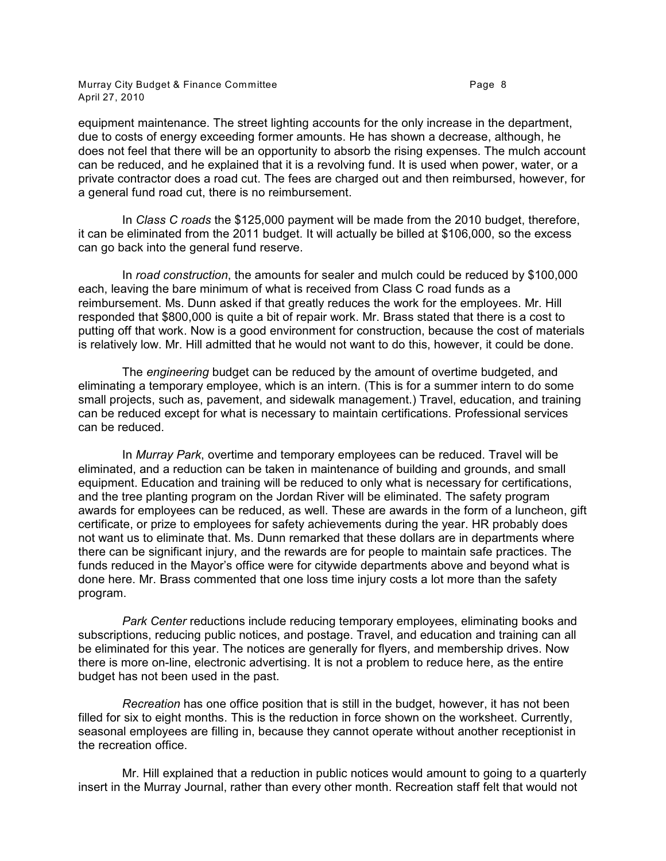Murray City Budget & Finance Committee **Page 1** 2012 1 2014 1 2019 1 2019 1 2019 1 2019 1 2019 1 2019 1 2019 1 20 April 27, 2010

equipment maintenance. The street lighting accounts for the only increase in the department, due to costs of energy exceeding former amounts. He has shown a decrease, although, he does not feel that there will be an opportunity to absorb the rising expenses. The mulch account can be reduced, and he explained that it is a revolving fund. It is used when power, water, or a private contractor does a road cut. The fees are charged out and then reimbursed, however, for a general fund road cut, there is no reimbursement.

In *Class C roads* the \$125,000 payment will be made from the 2010 budget, therefore, it can be eliminated from the 2011 budget. It will actually be billed at \$106,000, so the excess can go back into the general fund reserve.

In *road construction*, the amounts for sealer and mulch could be reduced by \$100,000 each, leaving the bare minimum of what is received from Class C road funds as a reimbursement. Ms. Dunn asked if that greatly reduces the work for the employees. Mr. Hill responded that \$800,000 is quite a bit of repair work. Mr. Brass stated that there is a cost to putting off that work. Now is a good environment for construction, because the cost of materials is relatively low. Mr. Hill admitted that he would not want to do this, however, it could be done.

The *engineering* budget can be reduced by the amount of overtime budgeted, and eliminating a temporary employee, which is an intern. (This is for a summer intern to do some small projects, such as, pavement, and sidewalk management.) Travel, education, and training can be reduced except for what is necessary to maintain certifications. Professional services can be reduced.

In *Murray Park*, overtime and temporary employees can be reduced. Travel will be eliminated, and a reduction can be taken in maintenance of building and grounds, and small equipment. Education and training will be reduced to only what is necessary for certifications, and the tree planting program on the Jordan River will be eliminated. The safety program awards for employees can be reduced, as well. These are awards in the form of a luncheon, gift certificate, or prize to employees for safety achievements during the year. HR probably does not want us to eliminate that. Ms. Dunn remarked that these dollars are in departments where there can be significant injury, and the rewards are for people to maintain safe practices. The funds reduced in the Mayor's office were for citywide departments above and beyond what is done here. Mr. Brass commented that one loss time injury costs a lot more than the safety program.

*Park Center* reductions include reducing temporary employees, eliminating books and subscriptions, reducing public notices, and postage. Travel, and education and training can all be eliminated for this year. The notices are generally for flyers, and membership drives. Now there is more on-line, electronic advertising. It is not a problem to reduce here, as the entire budget has not been used in the past.

*Recreation* has one office position that is still in the budget, however, it has not been filled for six to eight months. This is the reduction in force shown on the worksheet. Currently, seasonal employees are filling in, because they cannot operate without another receptionist in the recreation office.

Mr. Hill explained that a reduction in public notices would amount to going to a quarterly insert in the Murray Journal, rather than every other month. Recreation staff felt that would not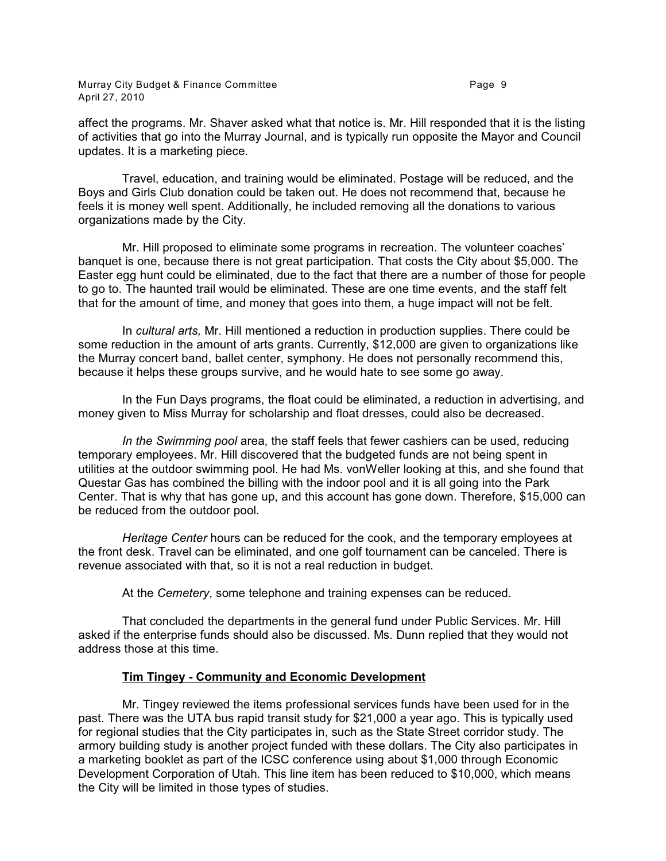affect the programs. Mr. Shaver asked what that notice is. Mr. Hill responded that it is the listing of activities that go into the Murray Journal, and is typically run opposite the Mayor and Council updates. It is a marketing piece.

Travel, education, and training would be eliminated. Postage will be reduced, and the Boys and Girls Club donation could be taken out. He does not recommend that, because he feels it is money well spent. Additionally, he included removing all the donations to various organizations made by the City.

Mr. Hill proposed to eliminate some programs in recreation. The volunteer coaches' banquet is one, because there is not great participation. That costs the City about \$5,000. The Easter egg hunt could be eliminated, due to the fact that there are a number of those for people to go to. The haunted trail would be eliminated. These are one time events, and the staff felt that for the amount of time, and money that goes into them, a huge impact will not be felt.

In *cultural arts,* Mr. Hill mentioned a reduction in production supplies. There could be some reduction in the amount of arts grants. Currently, \$12,000 are given to organizations like the Murray concert band, ballet center, symphony. He does not personally recommend this, because it helps these groups survive, and he would hate to see some go away.

In the Fun Days programs, the float could be eliminated, a reduction in advertising, and money given to Miss Murray for scholarship and float dresses, could also be decreased.

*In the Swimming pool* area, the staff feels that fewer cashiers can be used, reducing temporary employees. Mr. Hill discovered that the budgeted funds are not being spent in utilities at the outdoor swimming pool. He had Ms. vonWeller looking at this, and she found that Questar Gas has combined the billing with the indoor pool and it is all going into the Park Center. That is why that has gone up, and this account has gone down. Therefore, \$15,000 can be reduced from the outdoor pool.

*Heritage Center* hours can be reduced for the cook, and the temporary employees at the front desk. Travel can be eliminated, and one golf tournament can be canceled. There is revenue associated with that, so it is not a real reduction in budget.

At the *Cemetery*, some telephone and training expenses can be reduced.

That concluded the departments in the general fund under Public Services. Mr. Hill asked if the enterprise funds should also be discussed. Ms. Dunn replied that they would not address those at this time.

## **Tim Tingey - Community and Economic Development**

Mr. Tingey reviewed the items professional services funds have been used for in the past. There was the UTA bus rapid transit study for \$21,000 a year ago. This is typically used for regional studies that the City participates in, such as the State Street corridor study. The armory building study is another project funded with these dollars. The City also participates in a marketing booklet as part of the ICSC conference using about \$1,000 through Economic Development Corporation of Utah. This line item has been reduced to \$10,000, which means the City will be limited in those types of studies.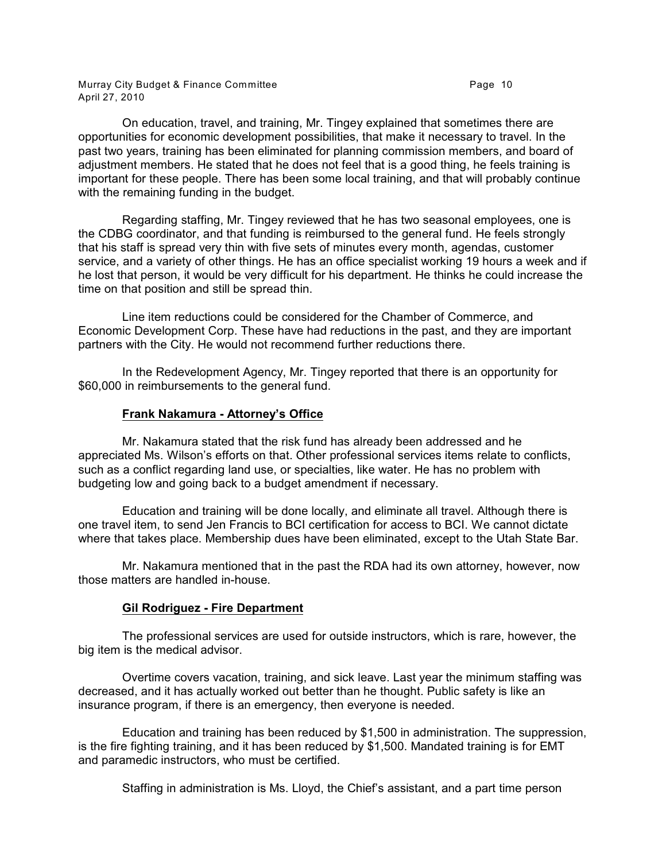Murray City Budget & Finance Committee **Page 10** Page 10 April 27, 2010

On education, travel, and training, Mr. Tingey explained that sometimes there are opportunities for economic development possibilities, that make it necessary to travel. In the past two years, training has been eliminated for planning commission members, and board of adjustment members. He stated that he does not feel that is a good thing, he feels training is important for these people. There has been some local training, and that will probably continue with the remaining funding in the budget.

Regarding staffing, Mr. Tingey reviewed that he has two seasonal employees, one is the CDBG coordinator, and that funding is reimbursed to the general fund. He feels strongly that his staff is spread very thin with five sets of minutes every month, agendas, customer service, and a variety of other things. He has an office specialist working 19 hours a week and if he lost that person, it would be very difficult for his department. He thinks he could increase the time on that position and still be spread thin.

Line item reductions could be considered for the Chamber of Commerce, and Economic Development Corp. These have had reductions in the past, and they are important partners with the City. He would not recommend further reductions there.

In the Redevelopment Agency, Mr. Tingey reported that there is an opportunity for \$60,000 in reimbursements to the general fund.

#### **Frank Nakamura - Attorney's Office**

Mr. Nakamura stated that the risk fund has already been addressed and he appreciated Ms. Wilson's efforts on that. Other professional services items relate to conflicts, such as a conflict regarding land use, or specialties, like water. He has no problem with budgeting low and going back to a budget amendment if necessary.

Education and training will be done locally, and eliminate all travel. Although there is one travel item, to send Jen Francis to BCI certification for access to BCI. We cannot dictate where that takes place. Membership dues have been eliminated, except to the Utah State Bar.

Mr. Nakamura mentioned that in the past the RDA had its own attorney, however, now those matters are handled in-house.

#### **Gil Rodriguez - Fire Department**

The professional services are used for outside instructors, which is rare, however, the big item is the medical advisor.

Overtime covers vacation, training, and sick leave. Last year the minimum staffing was decreased, and it has actually worked out better than he thought. Public safety is like an insurance program, if there is an emergency, then everyone is needed.

Education and training has been reduced by \$1,500 in administration. The suppression, is the fire fighting training, and it has been reduced by \$1,500. Mandated training is for EMT and paramedic instructors, who must be certified.

Staffing in administration is Ms. Lloyd, the Chief's assistant, and a part time person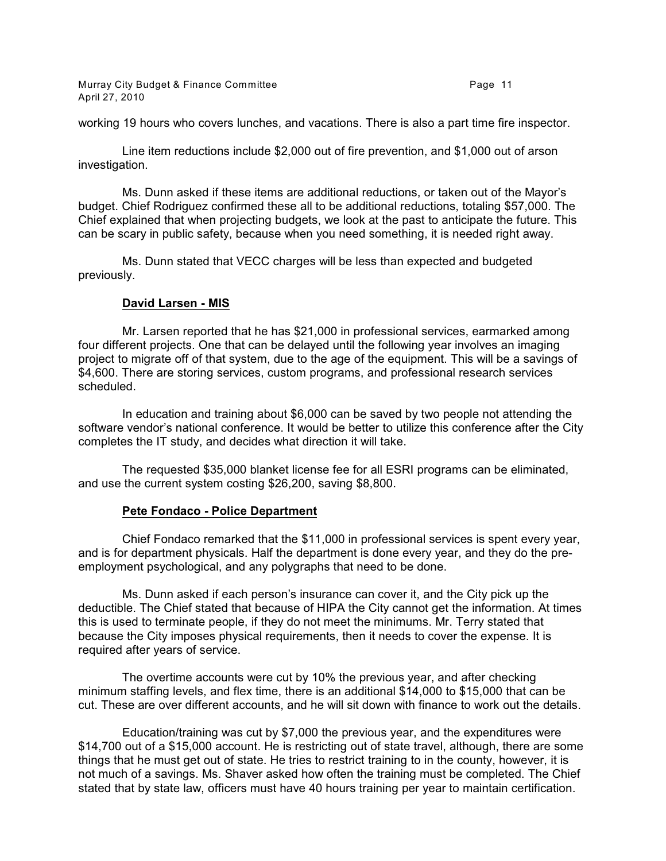Murray City Budget & Finance Committee **Page 11** and the Page 11 April 27, 2010

working 19 hours who covers lunches, and vacations. There is also a part time fire inspector.

Line item reductions include \$2,000 out of fire prevention, and \$1,000 out of arson investigation.

Ms. Dunn asked if these items are additional reductions, or taken out of the Mayor's budget. Chief Rodriguez confirmed these all to be additional reductions, totaling \$57,000. The Chief explained that when projecting budgets, we look at the past to anticipate the future. This can be scary in public safety, because when you need something, it is needed right away.

Ms. Dunn stated that VECC charges will be less than expected and budgeted previously.

#### **David Larsen - MIS**

Mr. Larsen reported that he has \$21,000 in professional services, earmarked among four different projects. One that can be delayed until the following year involves an imaging project to migrate off of that system, due to the age of the equipment. This will be a savings of \$4,600. There are storing services, custom programs, and professional research services scheduled.

In education and training about \$6,000 can be saved by two people not attending the software vendor's national conference. It would be better to utilize this conference after the City completes the IT study, and decides what direction it will take.

The requested \$35,000 blanket license fee for all ESRI programs can be eliminated, and use the current system costing \$26,200, saving \$8,800.

#### **Pete Fondaco - Police Department**

Chief Fondaco remarked that the \$11,000 in professional services is spent every year, and is for department physicals. Half the department is done every year, and they do the preemployment psychological, and any polygraphs that need to be done.

Ms. Dunn asked if each person's insurance can cover it, and the City pick up the deductible. The Chief stated that because of HIPA the City cannot get the information. At times this is used to terminate people, if they do not meet the minimums. Mr. Terry stated that because the City imposes physical requirements, then it needs to cover the expense. It is required after years of service.

The overtime accounts were cut by 10% the previous year, and after checking minimum staffing levels, and flex time, there is an additional \$14,000 to \$15,000 that can be cut. These are over different accounts, and he will sit down with finance to work out the details.

Education/training was cut by \$7,000 the previous year, and the expenditures were \$14,700 out of a \$15,000 account. He is restricting out of state travel, although, there are some things that he must get out of state. He tries to restrict training to in the county, however, it is not much of a savings. Ms. Shaver asked how often the training must be completed. The Chief stated that by state law, officers must have 40 hours training per year to maintain certification.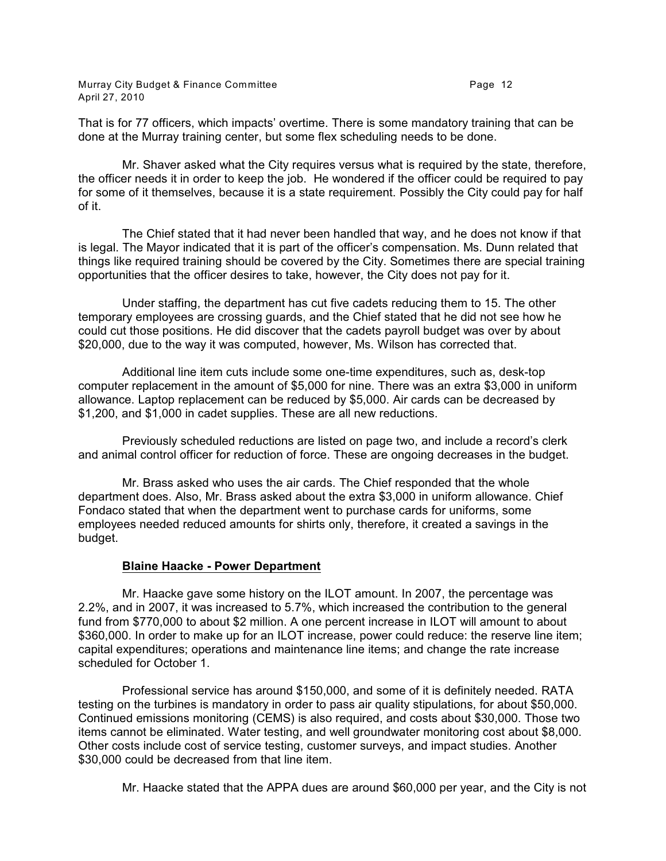That is for 77 officers, which impacts' overtime. There is some mandatory training that can be done at the Murray training center, but some flex scheduling needs to be done.

Mr. Shaver asked what the City requires versus what is required by the state, therefore, the officer needs it in order to keep the job. He wondered if the officer could be required to pay for some of it themselves, because it is a state requirement. Possibly the City could pay for half of it.

The Chief stated that it had never been handled that way, and he does not know if that is legal. The Mayor indicated that it is part of the officer's compensation. Ms. Dunn related that things like required training should be covered by the City. Sometimes there are special training opportunities that the officer desires to take, however, the City does not pay for it.

Under staffing, the department has cut five cadets reducing them to 15. The other temporary employees are crossing guards, and the Chief stated that he did not see how he could cut those positions. He did discover that the cadets payroll budget was over by about \$20,000, due to the way it was computed, however, Ms. Wilson has corrected that.

Additional line item cuts include some one-time expenditures, such as, desk-top computer replacement in the amount of \$5,000 for nine. There was an extra \$3,000 in uniform allowance. Laptop replacement can be reduced by \$5,000. Air cards can be decreased by \$1,200, and \$1,000 in cadet supplies. These are all new reductions.

Previously scheduled reductions are listed on page two, and include a record's clerk and animal control officer for reduction of force. These are ongoing decreases in the budget.

Mr. Brass asked who uses the air cards. The Chief responded that the whole department does. Also, Mr. Brass asked about the extra \$3,000 in uniform allowance. Chief Fondaco stated that when the department went to purchase cards for uniforms, some employees needed reduced amounts for shirts only, therefore, it created a savings in the budget.

## **Blaine Haacke - Power Department**

Mr. Haacke gave some history on the ILOT amount. In 2007, the percentage was 2.2%, and in 2007, it was increased to 5.7%, which increased the contribution to the general fund from \$770,000 to about \$2 million. A one percent increase in ILOT will amount to about \$360,000. In order to make up for an ILOT increase, power could reduce: the reserve line item; capital expenditures; operations and maintenance line items; and change the rate increase scheduled for October 1.

Professional service has around \$150,000, and some of it is definitely needed. RATA testing on the turbines is mandatory in order to pass air quality stipulations, for about \$50,000. Continued emissions monitoring (CEMS) is also required, and costs about \$30,000. Those two items cannot be eliminated. Water testing, and well groundwater monitoring cost about \$8,000. Other costs include cost of service testing, customer surveys, and impact studies. Another \$30,000 could be decreased from that line item.

Mr. Haacke stated that the APPA dues are around \$60,000 per year, and the City is not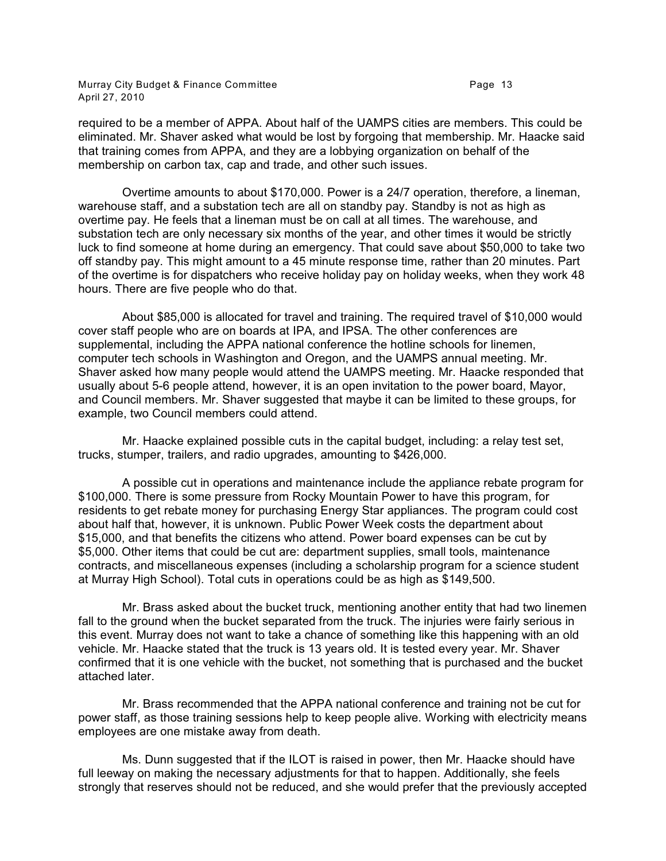Murray City Budget & Finance Committee **Page 13** Page 13 April 27, 2010

required to be a member of APPA. About half of the UAMPS cities are members. This could be eliminated. Mr. Shaver asked what would be lost by forgoing that membership. Mr. Haacke said that training comes from APPA, and they are a lobbying organization on behalf of the membership on carbon tax, cap and trade, and other such issues.

Overtime amounts to about \$170,000. Power is a 24/7 operation, therefore, a lineman, warehouse staff, and a substation tech are all on standby pay. Standby is not as high as overtime pay. He feels that a lineman must be on call at all times. The warehouse, and substation tech are only necessary six months of the year, and other times it would be strictly luck to find someone at home during an emergency. That could save about \$50,000 to take two off standby pay. This might amount to a 45 minute response time, rather than 20 minutes. Part of the overtime is for dispatchers who receive holiday pay on holiday weeks, when they work 48 hours. There are five people who do that.

About \$85,000 is allocated for travel and training. The required travel of \$10,000 would cover staff people who are on boards at IPA, and IPSA. The other conferences are supplemental, including the APPA national conference the hotline schools for linemen, computer tech schools in Washington and Oregon, and the UAMPS annual meeting. Mr. Shaver asked how many people would attend the UAMPS meeting. Mr. Haacke responded that usually about 5-6 people attend, however, it is an open invitation to the power board, Mayor, and Council members. Mr. Shaver suggested that maybe it can be limited to these groups, for example, two Council members could attend.

Mr. Haacke explained possible cuts in the capital budget, including: a relay test set, trucks, stumper, trailers, and radio upgrades, amounting to \$426,000.

A possible cut in operations and maintenance include the appliance rebate program for \$100,000. There is some pressure from Rocky Mountain Power to have this program, for residents to get rebate money for purchasing Energy Star appliances. The program could cost about half that, however, it is unknown. Public Power Week costs the department about \$15,000, and that benefits the citizens who attend. Power board expenses can be cut by \$5,000. Other items that could be cut are: department supplies, small tools, maintenance contracts, and miscellaneous expenses (including a scholarship program for a science student at Murray High School). Total cuts in operations could be as high as \$149,500.

Mr. Brass asked about the bucket truck, mentioning another entity that had two linemen fall to the ground when the bucket separated from the truck. The injuries were fairly serious in this event. Murray does not want to take a chance of something like this happening with an old vehicle. Mr. Haacke stated that the truck is 13 years old. It is tested every year. Mr. Shaver confirmed that it is one vehicle with the bucket, not something that is purchased and the bucket attached later.

Mr. Brass recommended that the APPA national conference and training not be cut for power staff, as those training sessions help to keep people alive. Working with electricity means employees are one mistake away from death.

Ms. Dunn suggested that if the ILOT is raised in power, then Mr. Haacke should have full leeway on making the necessary adjustments for that to happen. Additionally, she feels strongly that reserves should not be reduced, and she would prefer that the previously accepted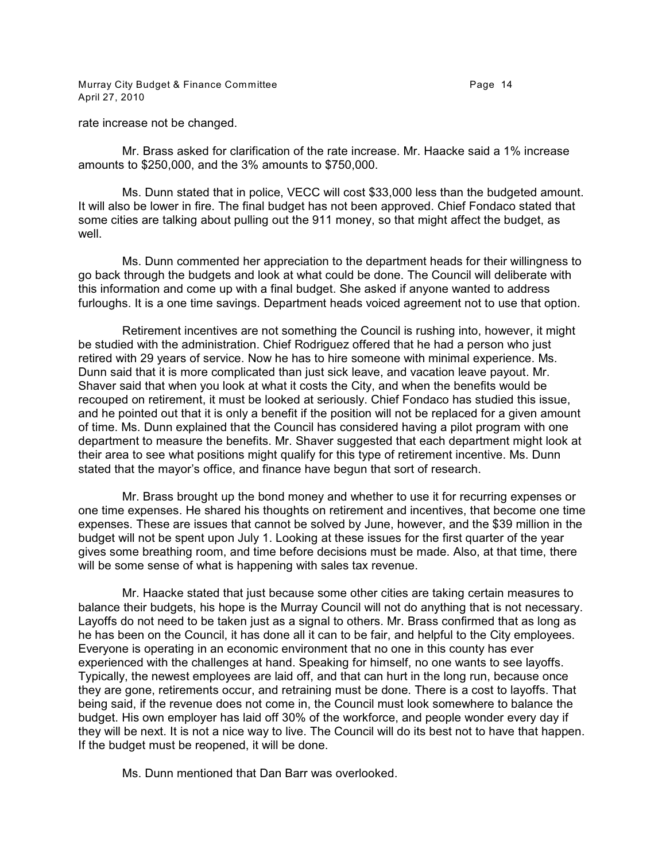Murray City Budget & Finance Committee **Page 14** Page 14 April 27, 2010

rate increase not be changed.

Mr. Brass asked for clarification of the rate increase. Mr. Haacke said a 1% increase amounts to \$250,000, and the 3% amounts to \$750,000.

Ms. Dunn stated that in police, VECC will cost \$33,000 less than the budgeted amount. It will also be lower in fire. The final budget has not been approved. Chief Fondaco stated that some cities are talking about pulling out the 911 money, so that might affect the budget, as well.

Ms. Dunn commented her appreciation to the department heads for their willingness to go back through the budgets and look at what could be done. The Council will deliberate with this information and come up with a final budget. She asked if anyone wanted to address furloughs. It is a one time savings. Department heads voiced agreement not to use that option.

Retirement incentives are not something the Council is rushing into, however, it might be studied with the administration. Chief Rodriguez offered that he had a person who just retired with 29 years of service. Now he has to hire someone with minimal experience. Ms. Dunn said that it is more complicated than just sick leave, and vacation leave payout. Mr. Shaver said that when you look at what it costs the City, and when the benefits would be recouped on retirement, it must be looked at seriously. Chief Fondaco has studied this issue, and he pointed out that it is only a benefit if the position will not be replaced for a given amount of time. Ms. Dunn explained that the Council has considered having a pilot program with one department to measure the benefits. Mr. Shaver suggested that each department might look at their area to see what positions might qualify for this type of retirement incentive. Ms. Dunn stated that the mayor's office, and finance have begun that sort of research.

Mr. Brass brought up the bond money and whether to use it for recurring expenses or one time expenses. He shared his thoughts on retirement and incentives, that become one time expenses. These are issues that cannot be solved by June, however, and the \$39 million in the budget will not be spent upon July 1. Looking at these issues for the first quarter of the year gives some breathing room, and time before decisions must be made. Also, at that time, there will be some sense of what is happening with sales tax revenue.

Mr. Haacke stated that just because some other cities are taking certain measures to balance their budgets, his hope is the Murray Council will not do anything that is not necessary. Layoffs do not need to be taken just as a signal to others. Mr. Brass confirmed that as long as he has been on the Council, it has done all it can to be fair, and helpful to the City employees. Everyone is operating in an economic environment that no one in this county has ever experienced with the challenges at hand. Speaking for himself, no one wants to see layoffs. Typically, the newest employees are laid off, and that can hurt in the long run, because once they are gone, retirements occur, and retraining must be done. There is a cost to layoffs. That being said, if the revenue does not come in, the Council must look somewhere to balance the budget. His own employer has laid off 30% of the workforce, and people wonder every day if they will be next. It is not a nice way to live. The Council will do its best not to have that happen. If the budget must be reopened, it will be done.

Ms. Dunn mentioned that Dan Barr was overlooked.